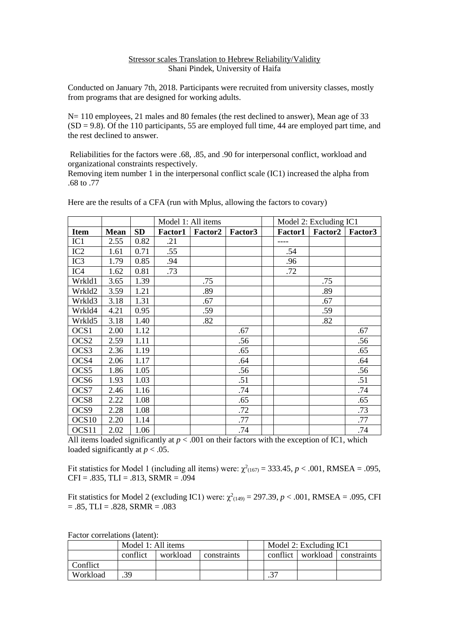## Stressor scales Translation to Hebrew Reliability/Validity Shani Pindek, University of Haifa

Conducted on January 7th, 2018. Participants were recruited from university classes, mostly from programs that are designed for working adults.

N= 110 employees, 21 males and 80 females (the rest declined to answer), Mean age of 33  $(SD = 9.8)$ . Of the 110 participants, 55 are employed full time, 44 are employed part time, and the rest declined to answer.

Reliabilities for the factors were .68, .85, and .90 for interpersonal conflict, workload and organizational constraints respectively.

Removing item number 1 in the interpersonal conflict scale (IC1) increased the alpha from .68 to .77

|                   |             |           | Model 1: All items |                |         | Model 2: Excluding IC1 |         |         |
|-------------------|-------------|-----------|--------------------|----------------|---------|------------------------|---------|---------|
| <b>Item</b>       | <b>Mean</b> | <b>SD</b> | <b>Factor1</b>     | <b>Factor2</b> | Factor3 | <b>Factor1</b>         | Factor2 | Factor3 |
| IC1               | 2.55        | 0.82      | .21                |                |         | ----                   |         |         |
| IC2               | 1.61        | 0.71      | .55                |                |         | .54                    |         |         |
| IC <sub>3</sub>   | 1.79        | 0.85      | .94                |                |         | .96                    |         |         |
| IC4               | 1.62        | 0.81      | .73                |                |         | .72                    |         |         |
| Wrkld1            | 3.65        | 1.39      |                    | .75            |         |                        | .75     |         |
| Wrkld2            | 3.59        | 1.21      |                    | .89            |         |                        | .89     |         |
| Wrkld3            | 3.18        | 1.31      |                    | .67            |         |                        | .67     |         |
| Wrkld4            | 4.21        | 0.95      |                    | .59            |         |                        | .59     |         |
| Wrkld5            | 3.18        | 1.40      |                    | .82            |         |                        | .82     |         |
| OCS1              | 2.00        | 1.12      |                    |                | .67     |                        |         | .67     |
| OCS <sub>2</sub>  | 2.59        | 1.11      |                    |                | .56     |                        |         | .56     |
| OCS3              | 2.36        | 1.19      |                    |                | .65     |                        |         | .65     |
| OCS4              | 2.06        | 1.17      |                    |                | .64     |                        |         | .64     |
| OCS <sub>5</sub>  | 1.86        | 1.05      |                    |                | .56     |                        |         | .56     |
| OCS <sub>6</sub>  | 1.93        | 1.03      |                    |                | .51     |                        |         | .51     |
| OCS7              | 2.46        | 1.16      |                    |                | .74     |                        |         | .74     |
| OCS <sub>8</sub>  | 2.22        | 1.08      |                    |                | .65     |                        |         | .65     |
| OCS9              | 2.28        | 1.08      |                    |                | .72     |                        |         | .73     |
| OCS <sub>10</sub> | 2.20        | 1.14      |                    |                | .77     |                        |         | .77     |
| OCS11             | 2.02        | 1.06      |                    |                | .74     |                        |         | .74     |

Here are the results of a CFA (run with Mplus, allowing the factors to covary)

All items loaded significantly at  $p < .001$  on their factors with the exception of IC1, which loaded significantly at  $p < .05$ .

Fit statistics for Model 1 (including all items) were:  $\chi^2_{(167)} = 333.45$ ,  $p < .001$ , RMSEA = .095,  $CFI = .835, TLI = .813, SRMR = .094$ 

Fit statistics for Model 2 (excluding IC1) were:  $\chi^2_{(149)} = 297.39$ ,  $p < .001$ , RMSEA = .095, CFI  $= .85,$  TLI  $= .828,$  SRMR  $= .083$ 

|  |          | Model 1: All items |          |             |  | Model 2: Excluding IC1 |                                   |  |  |
|--|----------|--------------------|----------|-------------|--|------------------------|-----------------------------------|--|--|
|  |          | conflict           | workload | constraints |  |                        | conflict   workload   constraints |  |  |
|  | Conflict |                    |          |             |  |                        |                                   |  |  |
|  | Workload | 39                 |          |             |  |                        |                                   |  |  |

Factor correlations (latent):